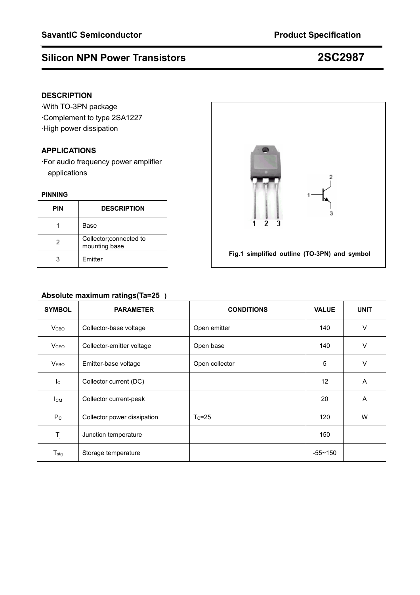# **Silicon NPN Power Transistors 2SC2987**

# **DESCRIPTION**

·With TO-3PN package ·Complement to type 2SA1227 ·High power dissipation

# **APPLICATIONS**

·For audio frequency power amplifier applications

### **PINNING**

| <b>PIN</b> | <b>DESCRIPTION</b>                       |
|------------|------------------------------------------|
|            | Base                                     |
| 2          | Collector; connected to<br>mounting base |
|            | Emitter                                  |



# **Absolute maximum ratings(Ta=25)**

| <b>SYMBOL</b>    | <b>PARAMETER</b>            | <b>CONDITIONS</b> | <b>VALUE</b> | <b>UNIT</b> |
|------------------|-----------------------------|-------------------|--------------|-------------|
| V <sub>CBO</sub> | Collector-base voltage      | Open emitter      | 140          | $\vee$      |
| V <sub>CEO</sub> | Collector-emitter voltage   | Open base         | 140          | $\vee$      |
| V <sub>EBO</sub> | Emitter-base voltage        | Open collector    | 5            | $\vee$      |
| $I_{\rm C}$      | Collector current (DC)      |                   | 12           | A           |
| $I_{CM}$         | Collector current-peak      |                   | 20           | A           |
| $P_{C}$          | Collector power dissipation | $T_c = 25$        | 120          | W           |
| $T_j$            | Junction temperature        |                   | 150          |             |
| $T_{\text{stg}}$ | Storage temperature         |                   | $-55 - 150$  |             |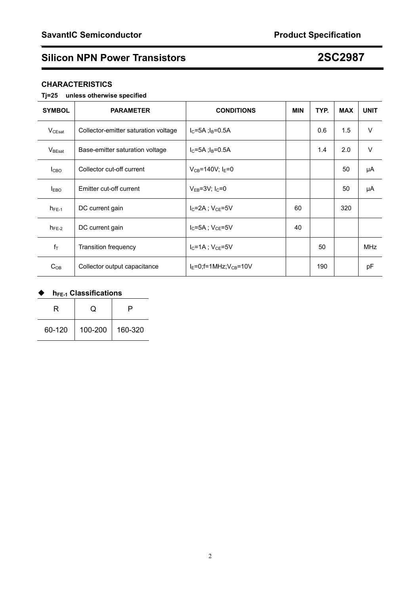# **Silicon NPN Power Transistors 2SC2987**

## **CHARACTERISTICS**

## **Tj=25 unless otherwise specified**

| <b>SYMBOL</b>      | <b>PARAMETER</b>                     | <b>CONDITIONS</b>              | <b>MIN</b> | TYP. | <b>MAX</b> | <b>UNIT</b> |
|--------------------|--------------------------------------|--------------------------------|------------|------|------------|-------------|
| $V_{CEsat}$        | Collector-emitter saturation voltage | $I_C = 5A$ ; $I_B = 0.5A$      |            | 0.6  | 1.5        | $\vee$      |
| $V_{\text{BEsat}}$ | Base-emitter saturation voltage      | $I_C = 5A$ ; $I_B = 0.5A$      |            | 1.4  | 2.0        | $\vee$      |
| I <sub>CBO</sub>   | Collector cut-off current            | $V_{CB} = 140V$ ; $I_E = 0$    |            |      | 50         | μA          |
| $I_{EBO}$          | Emitter cut-off current              | $V_{EB} = 3V$ ; $I_C = 0$      |            |      | 50         | μA          |
| $h_{FE-1}$         | DC current gain                      | $I_C = 2A$ ; $V_{CE} = 5V$     | 60         |      | 320        |             |
| $h_{FE-2}$         | DC current gain                      | $I_{C}$ =5A : $V_{CF}$ =5V     | 40         |      |            |             |
| $f_T$              | <b>Transition frequency</b>          | $I_{C}$ =1A : $V_{CF}$ =5V     |            | 50   |            | <b>MHz</b>  |
| $C_{OB}$           | Collector output capacitance         | $I_F=0$ ; f=1MHz; $V_{CB}=10V$ |            | 190  |            | pF          |

# ◆ h<sub>FE-1</sub> Classifications

| R      |         |         |
|--------|---------|---------|
| 60-120 | 100-200 | 160-320 |